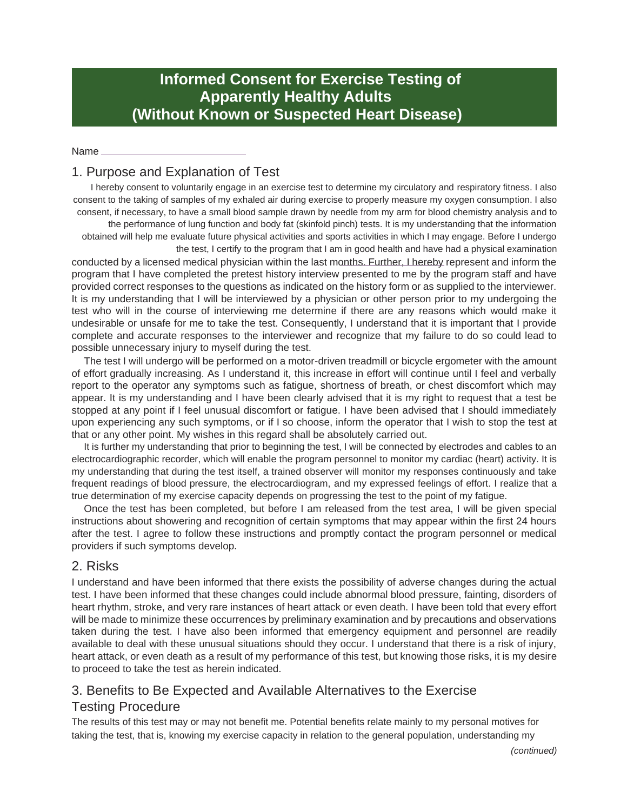# **Informed Consent for Exercise Testing of Apparently Healthy Adults (Without Known or Suspected Heart Disease)**

Name

## 1. Purpose and Explanation of Test

I hereby consent to voluntarily engage in an exercise test to determine my circulatory and respiratory fitness. I also consent to the taking of samples of my exhaled air during exercise to properly measure my oxygen consumption. I also consent, if necessary, to have a small blood sample drawn by needle from my arm for blood chemistry analysis and to the performance of lung function and body fat (skinfold pinch) tests. It is my understanding that the information obtained will help me evaluate future physical activities and sports activities in which I may engage. Before I undergo the test, I certify to the program that I am in good health and have had a physical examination

conducted by a licensed medical physician within the last months. Further, I hereby represent and inform the program that I have completed the pretest history interview presented to me by the program staff and have provided correct responses to the questions as indicated on the history form or as supplied to the interviewer. It is my understanding that I will be interviewed by a physician or other person prior to my undergoing the test who will in the course of interviewing me determine if there are any reasons which would make it undesirable or unsafe for me to take the test. Consequently, I understand that it is important that I provide complete and accurate responses to the interviewer and recognize that my failure to do so could lead to possible unnecessary injury to myself during the test.

The test I will undergo will be performed on a motor-driven treadmill or bicycle ergometer with the amount of effort gradually increasing. As I understand it, this increase in effort will continue until I feel and verbally report to the operator any symptoms such as fatigue, shortness of breath, or chest discomfort which may appear. It is my understanding and I have been clearly advised that it is my right to request that a test be stopped at any point if I feel unusual discomfort or fatigue. I have been advised that I should immediately upon experiencing any such symptoms, or if I so choose, inform the operator that I wish to stop the test at that or any other point. My wishes in this regard shall be absolutely carried out.

It is further my understanding that prior to beginning the test, I will be connected by electrodes and cables to an electrocardiographic recorder, which will enable the program personnel to monitor my cardiac (heart) activity. It is my understanding that during the test itself, a trained observer will monitor my responses continuously and take frequent readings of blood pressure, the electrocardiogram, and my expressed feelings of effort. I realize that a true determination of my exercise capacity depends on progressing the test to the point of my fatigue.

Once the test has been completed, but before I am released from the test area, I will be given special instructions about showering and recognition of certain symptoms that may appear within the first 24 hours after the test. I agree to follow these instructions and promptly contact the program personnel or medical providers if such symptoms develop.

### 2. Risks

I understand and have been informed that there exists the possibility of adverse changes during the actual test. I have been informed that these changes could include abnormal blood pressure, fainting, disorders of heart rhythm, stroke, and very rare instances of heart attack or even death. I have been told that every effort will be made to minimize these occurrences by preliminary examination and by precautions and observations taken during the test. I have also been informed that emergency equipment and personnel are readily available to deal with these unusual situations should they occur. I understand that there is a risk of injury, heart attack, or even death as a result of my performance of this test, but knowing those risks, it is my desire to proceed to take the test as herein indicated.

### 3. Benefits to Be Expected and Available Alternatives to the Exercise Testing Procedure

The results of this test may or may not benefit me. Potential benefits relate mainly to my personal motives for taking the test, that is, knowing my exercise capacity in relation to the general population, understanding my